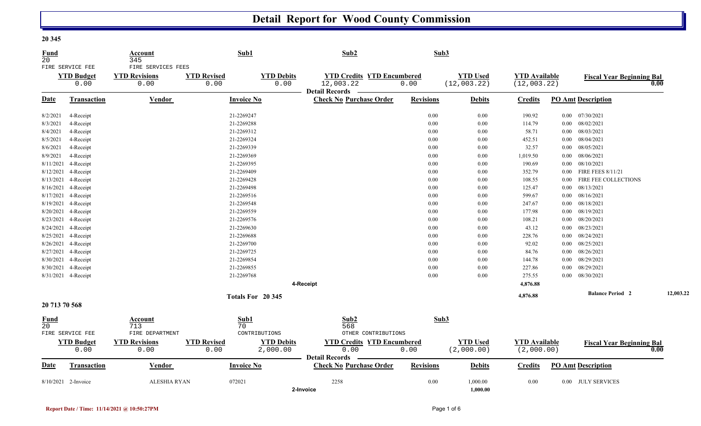## **Detail Report for Wood County Commission**

| <b>Fund</b><br>20 |                                       | Account<br>345                             |                    | Sub1              | Sub2                              |      | Sub3             |                 |                      |          |                                  |           |
|-------------------|---------------------------------------|--------------------------------------------|--------------------|-------------------|-----------------------------------|------|------------------|-----------------|----------------------|----------|----------------------------------|-----------|
|                   | FIRE SERVICE FEE<br><b>YTD Budget</b> | FIRE SERVICES FEES<br><b>YTD Revisions</b> | <b>YTD Revised</b> | <b>YTD Debits</b> | <b>YTD Credits YTD Encumbered</b> |      |                  | <b>YTD Used</b> | <b>YTD Available</b> |          | <b>Fiscal Year Beginning Bal</b> |           |
|                   | 0.00                                  | 0.00                                       | 0.00               | 0.00              | 12,003.22<br>Detail Records —     | 0.00 |                  | (12,003.22)     | (12,003.22)          |          |                                  | 0.00      |
| Date              | <b>Transaction</b>                    | Vendor                                     |                    | <b>Invoice No</b> | <b>Check No Purchase Order</b>    |      | <b>Revisions</b> | <b>Debits</b>   | Credits              |          | <b>PO Amt Description</b>        |           |
| 8/2/2021          | 4-Receipt                             |                                            |                    | 21-2269247        |                                   |      | 0.00             | 0.00            | 190.92               |          | $0.00$ $07/30/2021$              |           |
| 8/3/2021          | 4-Receipt                             |                                            |                    | 21-2269288        |                                   |      | 0.00             | 0.00            | 114.79               |          | $0.00$ $08/02/2021$              |           |
| 8/4/2021          | 4-Receipt                             |                                            |                    | 21-2269312        |                                   |      | 0.00             | 0.00            | 58.71                |          | $0.00$ $08/03/2021$              |           |
| 8/5/2021          | 4-Receipt                             |                                            |                    | 21-2269324        |                                   |      | 0.00             | 0.00            | 452.51               |          | $0.00$ $08/04/2021$              |           |
| 8/6/2021          | 4-Receipt                             |                                            |                    | 21-2269339        |                                   |      | 0.00             | 0.00            | 32.57                |          | $0.00$ 08/05/2021                |           |
| 8/9/2021          | 4-Receipt                             |                                            |                    | 21-2269369        |                                   |      | 0.00             | 0.00            | 1,019.50             |          | $0.00$ 08/06/2021                |           |
| 8/11/2021         | 4-Receipt                             |                                            |                    | 21-2269395        |                                   |      | 0.00             | 0.00            | 190.69               |          | $0.00$ $08/10/2021$              |           |
| 8/12/2021         | 4-Receipt                             |                                            |                    | 21-2269409        |                                   |      | 0.00             | 0.00            | 352.79               |          | 0.00 FIRE FEES 8/11/21           |           |
| 8/13/2021         | 4-Receipt                             |                                            |                    | 21-2269428        |                                   |      | 0.00             | 0.00            | 108.55               | $0.00\,$ | FIRE FEE COLLECTIONS             |           |
| 8/16/2021         | 4-Receipt                             |                                            |                    | 21-2269498        |                                   |      | 0.00             | 0.00            | 125.47               |          | $0.00$ $08/13/2021$              |           |
| 8/17/2021         | 4-Receipt                             |                                            |                    | 21-2269516        |                                   |      | 0.00             | 0.00            | 599.67               |          | $0.00$ $08/16/2021$              |           |
| 8/19/2021         | 4-Receipt                             |                                            |                    | 21-2269548        |                                   |      | 0.00             | 0.00            | 247.67               |          | $0.00$ $08/18/2021$              |           |
| 8/20/2021         | 4-Receipt                             |                                            |                    | 21-2269559        |                                   |      | 0.00             | 0.00            | 177.98               |          | $0.00$ $08/19/2021$              |           |
|                   | 8/23/2021 4-Receipt                   |                                            |                    | 21-2269576        |                                   |      | 0.00             | $0.00\,$        | 108.21               |          | $0.00$ $08/20/2021$              |           |
|                   | 8/24/2021 4-Receipt                   |                                            |                    | 21-2269630        |                                   |      | 0.00             | $0.00\,$        | 43.12                |          | $0.00$ $08/23/2021$              |           |
| 8/25/2021         | 4-Receipt                             |                                            |                    | 21-2269688        |                                   |      | 0.00             | 0.00            | 228.76               |          | $0.00$ $08/24/2021$              |           |
|                   | 8/26/2021 4-Receipt                   |                                            |                    | 21-2269700        |                                   |      | 0.00             | 0.00            | 92.02                |          | $0.00$ $08/25/2021$              |           |
| 8/27/2021         | 4-Receipt                             |                                            |                    | 21-2269725        |                                   |      | 0.00             | 0.00            | 84.76                |          | $0.00$ $08/26/2021$              |           |
| 8/30/2021         | 4-Receipt                             |                                            |                    | 21-2269854        |                                   |      | 0.00             | 0.00            | 144.78               | $0.00\,$ | 08/29/2021                       |           |
|                   | 8/30/2021 4-Receipt                   |                                            |                    | 21-2269855        |                                   |      | 0.00             | 0.00            | 227.86               |          | $0.00$ $08/29/2021$              |           |
|                   | 8/31/2021 4-Receipt                   |                                            |                    | 21-2269768        |                                   |      | 0.00             | 0.00            | 275.55               |          | $0.00$ $08/30/2021$              |           |
|                   |                                       |                                            |                    |                   | 4-Receipt                         |      |                  |                 | 4,876.88             |          |                                  |           |
|                   |                                       |                                            |                    | Totals For 20 345 |                                   |      |                  |                 | 4,876.88             |          | <b>Balance Period 2</b>          | 12,003.22 |
| 20 713 70 568     |                                       |                                            |                    |                   |                                   |      |                  |                 |                      |          |                                  |           |
| <b>Fund</b>       |                                       | Account                                    |                    | Sub1              | Sub2                              |      | Sub3             |                 |                      |          |                                  |           |
| 2.0               |                                       | 713                                        |                    | 70                | 568                               |      |                  |                 |                      |          |                                  |           |
|                   | FIRE SERVICE FEE                      | FIRE DEPARTMENT                            |                    | CONTRIBUTIONS     | OTHER CONTRIBUTIONS               |      |                  |                 |                      |          |                                  |           |
|                   | <b>YTD Budget</b>                     | <b>YTD Revisions</b>                       | <b>YTD Revised</b> | <b>YTD Debits</b> | <b>YTD Credits YTD Encumbered</b> |      |                  | <b>YTD Used</b> | <b>YTD Available</b> |          | <b>Fiscal Year Beginning Bal</b> |           |
|                   | 0.00                                  | 0.00                                       | 0.00               | 2,000.00          | 0.00<br><b>Detail Records</b>     | 0.00 |                  | (2,000.00)      | (2,000.00)           |          |                                  | 0.00      |
| <u>Date</u>       | <b>Transaction</b>                    | <b>Vendor</b>                              |                    | <b>Invoice No</b> | <b>Check No Purchase Order</b>    |      | <b>Revisions</b> | <b>Debits</b>   | <b>Credits</b>       |          | <b>PO Amt Description</b>        |           |
|                   | 8/10/2021 2-Invoice                   | <b>ALESHIA RYAN</b>                        | 072021             |                   | 2258                              |      | 0.00             | 1,000.00        | 0.00                 |          | 0.00 JULY SERVICES               |           |
|                   |                                       |                                            |                    |                   | 2-Invoice                         |      |                  | 1,000.00        |                      |          |                                  |           |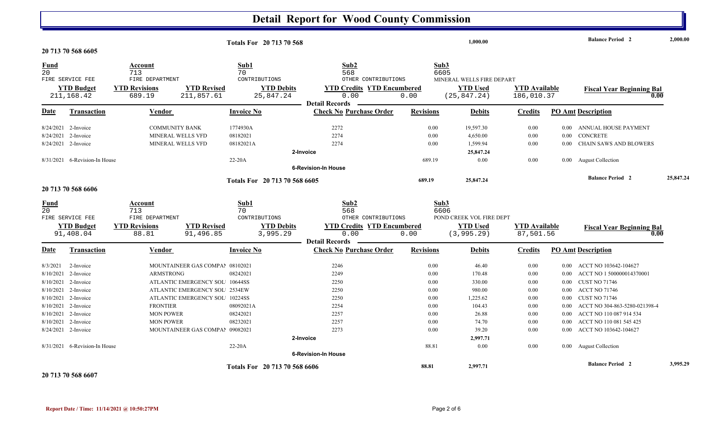## **Detail Report for Wood County Commission**

|             |                               |                      |                                 |                   | <b>Totals For 20 713 70 568</b> |                                           |                  | 1.000.00                  |                      |          | <b>Balance Period 2</b>          | 2,000.00  |
|-------------|-------------------------------|----------------------|---------------------------------|-------------------|---------------------------------|-------------------------------------------|------------------|---------------------------|----------------------|----------|----------------------------------|-----------|
|             | 20 713 70 568 6605            |                      |                                 |                   |                                 |                                           |                  |                           |                      |          |                                  |           |
| <b>Fund</b> |                               | Account              |                                 | Sub1              |                                 | Sub2                                      |                  | Sub3                      |                      |          |                                  |           |
| 20          |                               | 713                  |                                 | 70                |                                 | 568                                       |                  | 6605                      |                      |          |                                  |           |
|             | FIRE SERVICE FEE              | FIRE DEPARTMENT      |                                 | CONTRIBUTIONS     |                                 | OTHER CONTRIBUTIONS                       |                  | MINERAL WELLS FIRE DEPART |                      |          |                                  |           |
|             | <b>YTD Budget</b>             | <b>YTD Revisions</b> | <b>YTD Revised</b>              |                   | <b>YTD Debits</b>               | <b>YTD Credits YTD Encumbered</b><br>0.00 |                  | <b>YTD Used</b>           | <b>YTD Available</b> |          | <b>Fiscal Year Beginning Bal</b> |           |
|             | 211,168.42                    | 689.19               | 211,857.61                      |                   | 25,847.24                       | <b>Detail Records</b>                     | 0.00             | (25, 847.24)              | 186,010.37           |          | 0.00                             |           |
| <b>Date</b> | Transaction                   | Vendor               |                                 | <b>Invoice No</b> |                                 | <b>Check No Purchase Order</b>            | <b>Revisions</b> | <b>Debits</b>             | <b>Credits</b>       |          | <b>PO Amt Description</b>        |           |
|             | 8/24/2021 2-Invoice           |                      | <b>COMMUNITY BANK</b>           | 1774930A          |                                 | 2272                                      | 0.00             | 19,597.30                 | 0.00                 |          | 0.00 ANNUAL HOUSE PAYMENT        |           |
| 8/24/2021   | 2-Invoice                     |                      | MINERAL WELLS VFD               | 08182021          |                                 | 2274                                      | 0.00             | 4,650.00                  | 0.00                 | $0.00\,$ | CONCRETE                         |           |
|             | 8/24/2021 2-Invoice           |                      | MINERAL WELLS VFD               | 08182021A         |                                 | 2274                                      | 0.00             | 1,599.94                  | 0.00                 | 0.00     | CHAIN SAWS AND BLOWERS           |           |
|             |                               |                      |                                 |                   | 2-Invoice                       |                                           |                  | 25,847.24                 |                      |          |                                  |           |
|             | 8/31/2021 6-Revision-In House |                      |                                 | 22-20A            |                                 |                                           | 689.19           | 0.00                      | 0.00                 |          | 0.00 August Collection           |           |
|             |                               |                      |                                 |                   |                                 | <b>6-Revision-In House</b>                |                  |                           |                      |          |                                  |           |
|             |                               |                      |                                 |                   | Totals For 20 713 70 568 6605   |                                           | 689.19           | 25,847.24                 |                      |          | <b>Balance Period 2</b>          | 25,847.24 |
|             | 20 713 70 568 6606            |                      |                                 |                   |                                 |                                           |                  |                           |                      |          |                                  |           |
| <b>Fund</b> |                               | Account              |                                 | Sub1              |                                 | Sub <sub>2</sub>                          |                  | Sub3                      |                      |          |                                  |           |
| 20          |                               | 713                  |                                 | 70                |                                 | 568                                       |                  | 6606                      |                      |          |                                  |           |
|             | FIRE SERVICE FEE              | FIRE DEPARTMENT      |                                 | CONTRIBUTIONS     |                                 | OTHER CONTRIBUTIONS                       |                  | POND CREEK VOL FIRE DEPT  |                      |          |                                  |           |
|             | <b>YTD Budget</b>             | <b>YTD Revisions</b> | <b>YTD Revised</b>              |                   | <b>YTD Debits</b>               | <b>YTD Credits YTD Encumbered</b>         |                  | <b>YTD Used</b>           | <b>YTD</b> Available |          | <b>Fiscal Year Beginning Bal</b> |           |
|             | 91,408.04                     | 88.81                | 91,496.85                       |                   | 3,995.29                        | 0.00                                      | 0.00             | (3, 995.29)               | 87,501.56            |          | 0.00                             |           |
|             |                               |                      |                                 |                   |                                 | <b>Detail Records</b>                     |                  |                           |                      |          |                                  |           |
| Date        | Transaction                   | Vendor               |                                 | <b>Invoice No</b> |                                 | <b>Check No Purchase Order</b>            | <b>Revisions</b> | <b>Debits</b>             | <b>Credits</b>       |          | <b>PO Amt Description</b>        |           |
| 8/3/2021    | 2-Invoice                     |                      | MOUNTAINEER GAS COMPAI 08102021 |                   |                                 | 2246                                      | 0.00             | 46.40                     | 0.00                 | $0.00\,$ | ACCT NO 103642-104627            |           |
| 8/10/2021   | 2-Invoice                     | <b>ARMSTRONG</b>     |                                 | 08242021          |                                 | 2249                                      | 0.00             | 170.48                    | 0.00                 | $0.00\,$ | ACCT NO 1 500000014370001        |           |
| 8/10/2021   | 2-Invoice                     |                      | ATLANTIC EMERGENCY SOL 10644SS  |                   |                                 | 2250                                      | 0.00             | 330.00                    | 0.00                 | 0.00     | <b>CUST NO 71746</b>             |           |
| 8/10/2021   | 2-Invoice                     |                      | ATLANTIC EMERGENCY SOL 2534EW   |                   |                                 | 2250                                      | 0.00             | 980.00                    | 0.00                 | $0.00\,$ | <b>ACCT NO 71746</b>             |           |
|             | 8/10/2021 2-Invoice           |                      | ATLANTIC EMERGENCY SOL 10224SS  |                   |                                 | 2250                                      | 0.00             | 1,225.62                  | 0.00                 | 0.00     | <b>CUST NO 71746</b>             |           |
|             | 8/10/2021 2-Invoice           | <b>FRONTIER</b>      |                                 | 08092021A         |                                 | 2254                                      | 0.00             | 104.43                    | 0.00                 | 0.00     | ACCT NO 304-863-5280-021398-4    |           |
| 8/10/2021   | 2-Invoice                     | <b>MON POWER</b>     |                                 | 08242021          |                                 | 2257                                      | 0.00             | 26.88                     | 0.00                 | 0.00     | ACCT NO 110 087 914 534          |           |
|             | 8/10/2021 2-Invoice           | <b>MON POWER</b>     |                                 | 08232021          |                                 | 2257                                      | 0.00             | 74.70                     | 0.00                 | 0.00     | ACCT NO 110 081 545 425          |           |
|             | 8/24/2021 2-Invoice           |                      | MOUNTAINEER GAS COMPAL 09082021 |                   |                                 | 2273                                      | 0.00             | 39.20                     | 0.00                 | $0.00\,$ | ACCT NO 103642-104627            |           |
|             |                               |                      |                                 |                   | 2-Invoice                       |                                           |                  | 2,997.71                  |                      |          |                                  |           |
|             | 8/31/2021 6-Revision-In House |                      |                                 | 22-20A            |                                 |                                           | 88.81            | 0.00                      | 0.00                 |          | 0.00 August Collection           |           |
|             |                               |                      |                                 |                   |                                 | <b>6-Revision-In House</b>                |                  |                           |                      |          |                                  |           |
|             |                               |                      |                                 |                   | Totals For 20 713 70 568 6606   |                                           | 88.81            | 2,997.71                  |                      |          | <b>Balance Period 2</b>          | 3,995.29  |
|             | 20 713 70 568 6607            |                      |                                 |                   |                                 |                                           |                  |                           |                      |          |                                  |           |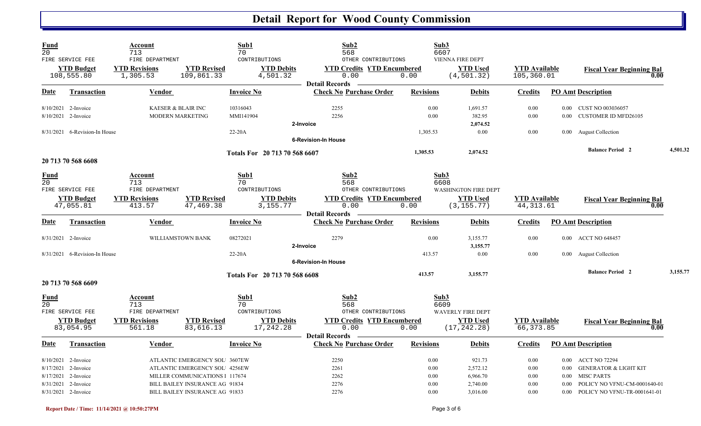## **Detail Report for Wood County Commission**

| <b>Fund</b><br>20 |                                 | Account<br>713                   |                                  | Sub1<br>70                     | Sub2<br>568                               |                  | Sub3<br>6607                                |                                    |                   |                                          |          |
|-------------------|---------------------------------|----------------------------------|----------------------------------|--------------------------------|-------------------------------------------|------------------|---------------------------------------------|------------------------------------|-------------------|------------------------------------------|----------|
|                   | FIRE SERVICE FEE                | FIRE DEPARTMENT                  |                                  | CONTRIBUTIONS                  | OTHER CONTRIBUTIONS                       |                  | VIENNA FIRE DEPT                            |                                    |                   |                                          |          |
|                   | <b>YTD Budget</b><br>108,555.80 | <b>YTD Revisions</b><br>1,305.53 | <b>YTD Revised</b><br>109,861.33 | <b>YTD Debits</b><br>4,501.32  | <b>YTD Credits YTD Encumbered</b><br>0.00 | 0.00             | <b>YTD Used</b><br>(4, 501.32)              | <b>YTD Available</b><br>105,360.01 |                   | <b>Fiscal Year Beginning Bal</b><br>0.00 |          |
|                   |                                 |                                  |                                  |                                | <b>Detail Records</b>                     |                  |                                             |                                    |                   |                                          |          |
| Date              | <b>Transaction</b>              | Vendor                           |                                  | <b>Invoice No</b>              | <b>Check No Purchase Order</b>            | <b>Revisions</b> | <b>Debits</b>                               | <b>Credits</b>                     |                   | <b>PO Amt Description</b>                |          |
|                   | 8/10/2021 2-Invoice             | KAESER & BLAIR INC               |                                  | 10316043                       | 2255                                      | 0.00             | 1,691.57                                    | 0.00                               |                   | 0.00 CUST NO 003036057                   |          |
|                   | 8/10/2021 2-Invoice             | MODERN MARKETING                 |                                  | MMI141904                      | 2256                                      | 0.00             | 382.95                                      | 0.00                               | 0.00 <sub>1</sub> | <b>CUSTOMER ID MFD26105</b>              |          |
|                   |                                 |                                  |                                  |                                | 2-Invoice                                 |                  | 2,074.52                                    |                                    |                   |                                          |          |
|                   | 8/31/2021 6-Revision-In House   |                                  |                                  | 22-20A                         |                                           | 1,305.53         | 0.00                                        | 0.00                               |                   | 0.00 August Collection                   |          |
|                   |                                 |                                  |                                  |                                | <b>6-Revision-In House</b>                |                  |                                             |                                    |                   |                                          |          |
|                   | 20 713 70 568 6608              |                                  |                                  | Totals For 20 713 70 568 6607  |                                           | 1,305.53         | 2,074.52                                    |                                    |                   | <b>Balance Period 2</b>                  | 4,501.32 |
| <b>Fund</b>       |                                 | Account                          |                                  | Sub1                           | Sub2                                      |                  | Sub3                                        |                                    |                   |                                          |          |
| 20 <sub>o</sub>   |                                 | 713                              |                                  | 70                             | 568                                       |                  | 6608                                        |                                    |                   |                                          |          |
|                   | FIRE SERVICE FEE                | FIRE DEPARTMENT                  |                                  | CONTRIBUTIONS                  | OTHER CONTRIBUTIONS                       |                  | <b>WASHINGTON FIRE DEPT</b>                 |                                    |                   |                                          |          |
|                   | <b>YTD Budget</b>               | <b>YTD Revisions</b>             | <b>YTD Revised</b>               | <b>YTD Debits</b>              | <b>YTD Credits YTD Encumbered</b>         |                  | <b>YTD</b> Used                             | <b>YTD</b> Available               |                   | <b>Fiscal Year Beginning Bal</b>         |          |
|                   | 47,055.81                       | 413.57                           | 47,469.38                        | 3,155.77                       | 0.00                                      | 0.00             | (3, 155, 77)                                | 44, 313.61                         |                   | 0.00                                     |          |
|                   |                                 |                                  |                                  |                                | <b>Detail Records</b>                     |                  |                                             |                                    |                   |                                          |          |
| Date              | Transaction                     | Vendor                           |                                  | <b>Invoice No</b>              | <b>Check No Purchase Order</b>            | <b>Revisions</b> | <b>Debits</b>                               | <b>Credits</b>                     |                   | <b>PO Amt Description</b>                |          |
|                   | 8/31/2021 2-Invoice             | WILLIAMSTOWN BANK                |                                  | 08272021                       | 2279                                      | 0.00             | 3,155.77                                    | 0.00                               |                   | 0.00 ACCT NO 648457                      |          |
|                   |                                 |                                  |                                  |                                | 2-Invoice                                 |                  | 3,155.77                                    |                                    |                   |                                          |          |
|                   | 8/31/2021 6-Revision-In House   |                                  |                                  | 22-20A                         |                                           | 413.57           | 0.00                                        | 0.00                               |                   | 0.00 August Collection                   |          |
|                   |                                 |                                  |                                  |                                | <b>6-Revision-In House</b>                |                  |                                             |                                    |                   |                                          |          |
|                   | 20 713 70 568 6609              |                                  |                                  | Totals For 20 713 70 568 6608  |                                           | 413.57           | 3,155.77                                    |                                    |                   | <b>Balance Period 2</b>                  | 3,155.77 |
|                   |                                 |                                  |                                  |                                |                                           |                  |                                             |                                    |                   |                                          |          |
| <u>Fund</u>       |                                 | Account                          |                                  | Sub1                           | Sub2                                      |                  | Sub3                                        |                                    |                   |                                          |          |
| 20                | FIRE SERVICE FEE                | 713<br>FIRE DEPARTMENT           |                                  | 70<br>CONTRIBUTIONS            | 568<br>OTHER CONTRIBUTIONS                |                  | 6609                                        |                                    |                   |                                          |          |
|                   | <b>YTD Budget</b>               |                                  |                                  |                                | <b>YTD Credits YTD Encumbered</b>         |                  | <b>WAVERLY FIRE DEPT</b><br><b>YTD</b> Used |                                    |                   |                                          |          |
|                   | 83,054.95                       | <b>YTD Revisions</b><br>561.18   | <b>YTD Revised</b><br>83,616.13  | <b>YTD Debits</b><br>17,242.28 | 0.00<br><b>Detail Records</b>             | 0.00             | (17, 242.28)                                | <b>YTD</b> Available<br>66,373.85  |                   | <b>Fiscal Year Beginning Bal</b><br>0.00 |          |
| <b>Date</b>       | <b>Transaction</b>              | Vendor                           |                                  | <b>Invoice No</b>              | <b>Check No Purchase Order</b>            | <b>Revisions</b> | <b>Debits</b>                               | <b>Credits</b>                     |                   | <b>PO Amt Description</b>                |          |
|                   | 8/10/2021 2-Invoice             |                                  | ATLANTIC EMERGENCY SOL 3607EW    |                                | 2250                                      | 0.00             | 921.73                                      | 0.00                               | $0.00\,$          | <b>ACCT NO 72294</b>                     |          |
|                   | 8/17/2021 2-Invoice             |                                  | ATLANTIC EMERGENCY SOL 4256EW    |                                | 2261                                      | 0.00             | 2,572.12                                    | 0.00                               | 0.00              | <b>GENERATOR &amp; LIGHT KIT</b>         |          |
|                   | 8/17/2021 2-Invoice             |                                  | MILLER COMMUNICATIONS 1 117674   |                                | 2262                                      | 0.00             | 6,966.70                                    | 0.00                               | $0.00\,$          | <b>MISC PARTS</b>                        |          |
|                   | 8/31/2021 2-Invoice             |                                  | BILL BAILEY INSURANCE AG 91834   |                                | 2276                                      | 0.00             | 2,740.00                                    | 0.00                               | 0.00              | POLICY NO VFNU-CM-0001640-01             |          |
|                   | 8/31/2021 2-Invoice             |                                  | BILL BAILEY INSURANCE AG 91833   |                                | 2276                                      | 0.00             | 3,016.00                                    | 0.00                               | $0.00\,$          | POLICY NO VFNU-TR-0001641-01             |          |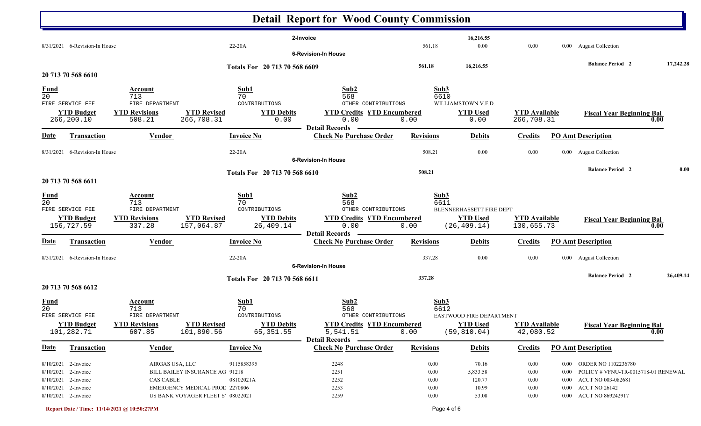|                                |                                                                   |                                          |                                                                    |                                 | <b>Detail Report for Wood County Commission</b>                        |                              |                                          |                                    |                      |                                                                                       |           |
|--------------------------------|-------------------------------------------------------------------|------------------------------------------|--------------------------------------------------------------------|---------------------------------|------------------------------------------------------------------------|------------------------------|------------------------------------------|------------------------------------|----------------------|---------------------------------------------------------------------------------------|-----------|
|                                | 8/31/2021 6-Revision-In House                                     |                                          |                                                                    | 22-20A                          | 2-Invoice<br><b>6-Revision-In House</b>                                | 561.18                       | 16,216.55<br>$0.00\,$                    | 0.00                               |                      | 0.00 August Collection                                                                |           |
|                                |                                                                   |                                          |                                                                    | Totals For 20 713 70 568 6609   |                                                                        | 561.18                       | 16,216.55                                |                                    |                      | <b>Balance Period 2</b>                                                               | 17,242.28 |
|                                | 20 713 70 568 6610                                                |                                          |                                                                    |                                 |                                                                        |                              |                                          |                                    |                      |                                                                                       |           |
| <u>Fund</u><br>$\overline{20}$ | FIRE SERVICE FEE                                                  | Account<br>713<br>FIRE DEPARTMENT        |                                                                    | Sub1<br>70<br>CONTRIBUTIONS     | Sub2<br>568<br>OTHER CONTRIBUTIONS                                     |                              | Sub3<br>6610<br>WILLIAMSTOWN V.F.D.      |                                    |                      |                                                                                       |           |
|                                | <b>YTD Budget</b><br>266,200.10                                   | <b>YTD Revisions</b><br>508.21           | <b>YTD Revised</b><br>266,708.31                                   | <b>YTD Debits</b><br>0.00       | <b>YTD Credits YTD Encumbered</b><br>0.00<br><b>Detail Records</b>     | 0.00                         | <b>YTD Used</b><br>0.00                  | <b>YTD</b> Available<br>266,708.31 |                      | <b>Fiscal Year Beginning Bal</b>                                                      | 0.00      |
| <b>Date</b>                    | <b>Transaction</b>                                                | <b>Vendor</b>                            |                                                                    | <b>Invoice No</b>               | <b>Check No Purchase Order</b>                                         | <b>Revisions</b>             | <b>Debits</b>                            | <b>Credits</b>                     |                      | <b>PO Amt Description</b>                                                             |           |
|                                | 8/31/2021 6-Revision-In House                                     |                                          |                                                                    | $22-20A$                        | <b>6-Revision-In House</b>                                             | 508.21                       | 0.00                                     | 0.00                               |                      | 0.00 August Collection                                                                |           |
|                                | 20 713 70 568 6611                                                |                                          |                                                                    | Totals For 20 713 70 568 6610   |                                                                        | 508.21                       |                                          |                                    |                      | <b>Balance Period 2</b>                                                               | 0.00      |
| <b>Fund</b><br>20              | FIRE SERVICE FEE                                                  | Account<br>713<br>FIRE DEPARTMENT        |                                                                    | Sub1<br>70<br>CONTRIBUTIONS     | Sub2<br>568<br>OTHER CONTRIBUTIONS                                     |                              | Sub3<br>6611<br>BLENNERHASSETT FIRE DEPT |                                    |                      |                                                                                       |           |
|                                | <b>YTD Budget</b><br>156,727.59                                   | <b>YTD Revisions</b><br>337.28           | <b>YTD Revised</b><br>157,064.87                                   | <b>YTD Debits</b><br>26,409.14  | <b>YTD Credits YTD Encumbered</b><br>0.00<br><b>Detail Records</b>     | 0.00                         | <b>YTD Used</b><br>(26, 409.14)          | <b>YTD Available</b><br>130,655.73 |                      | <b>Fiscal Year Beginning Bal</b>                                                      | 0.00      |
| Date                           | <b>Transaction</b>                                                | <b>Vendor</b>                            |                                                                    | <b>Invoice No</b>               | <b>Check No Purchase Order</b>                                         | <b>Revisions</b>             | <b>Debits</b>                            | <b>Credits</b>                     |                      | <b>PO Amt Description</b>                                                             |           |
|                                | 8/31/2021 6-Revision-In House                                     |                                          |                                                                    | 22-20A                          | <b>6-Revision-In House</b>                                             | 337.28                       | 0.00                                     | 0.00                               |                      | 0.00 August Collection                                                                |           |
|                                | 20 713 70 568 6612                                                |                                          |                                                                    | Totals For 20 713 70 568 6611   |                                                                        | 337.28                       |                                          |                                    |                      | <b>Balance Period 2</b>                                                               | 26,409.14 |
| <u>Fund</u><br>$\overline{20}$ | FIRE SERVICE FEE                                                  | <b>Account</b><br>713<br>FIRE DEPARTMENT |                                                                    | Sub1<br>70<br>CONTRIBUTIONS     | Sub2<br>568<br>OTHER CONTRIBUTIONS                                     |                              | Sub3<br>6612<br>EASTWOOD FIRE DEPARTMENT |                                    |                      |                                                                                       |           |
|                                | <b>YTD Budget</b><br>101,282.71                                   | <b>YTD Revisions</b><br>607.85           | <b>YTD Revised</b><br>101,890.56                                   | <b>YTD Debits</b><br>65, 351.55 | <b>YTD Credits YTD Encumbered</b><br>5,541.51<br><b>Detail Records</b> | 0.00                         | <b>YTD Used</b><br>(59, 810.04)          | <b>YTD Available</b><br>42,080.52  |                      | <b>Fiscal Year Beginning Bal</b>                                                      | 0.00      |
| <u>Date</u>                    | <b>Transaction</b>                                                | <b>Vendor</b>                            |                                                                    | <b>Invoice No</b>               | <b>Check No Purchase Order</b>                                         | <b>Revisions</b>             | <b>Debits</b>                            | <b>Credits</b>                     |                      | <b>PO Amt Description</b>                                                             |           |
|                                | 8/10/2021 2-Invoice<br>8/10/2021 2-Invoice<br>8/10/2021 2-Invoice | AIRGAS USA, LLC<br><b>CAS CABLE</b>      | BILL BAILEY INSURANCE AG 91218                                     | 9115858395<br>08102021A         | 2248<br>2251<br>2252                                                   | $0.00\,$<br>0.00<br>$0.00\,$ | 70.16<br>5,833.58<br>120.77              | 0.00<br>$0.00\,$<br>$0.00\,$       | $0.00\,$<br>$0.00\,$ | 0.00 ORDER NO 1102236780<br>POLICY # VFNU-TR-0015718-01 RENEWAL<br>ACCT NO 003-082681 |           |
|                                | 8/10/2021 2-Invoice<br>8/10/2021 2-Invoice                        |                                          | EMERGENCY MEDICAL PROL 2270806<br>US BANK VOYAGER FLEET S 08022021 |                                 | 2253<br>2259                                                           | $0.00\,$<br>0.00             | 10.99<br>53.08                           | 0.00<br>0.00                       |                      | 0.00 ACCT NO 26142<br>0.00 ACCT NO 869242917                                          |           |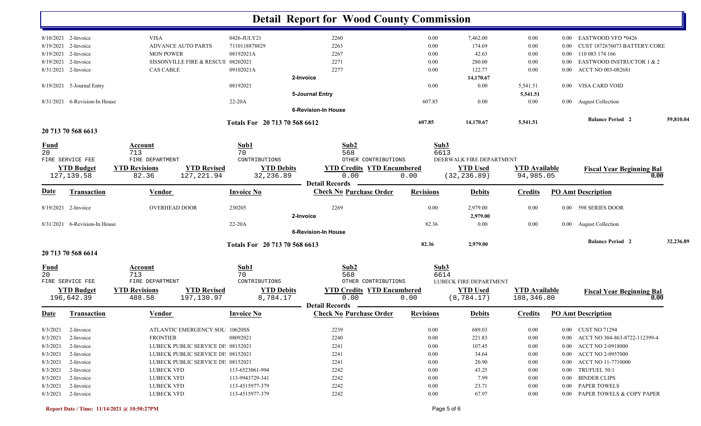|                   |                                 |                                                                    |                               | <b>Detail Report for Wood County Commission</b>         |                  |                                |                                     |          |                                          |           |
|-------------------|---------------------------------|--------------------------------------------------------------------|-------------------------------|---------------------------------------------------------|------------------|--------------------------------|-------------------------------------|----------|------------------------------------------|-----------|
|                   | 8/10/2021 2-Invoice             | <b>VISA</b>                                                        | 0426-JULY21                   | 2260                                                    | 0.00             | 7,462.00                       | 0.00                                | 0.00     | EASTWOOD VFD *0426                       |           |
| 8/19/2021         | 2-Invoice                       | <b>ADVANCE AUTO PARTS</b>                                          | 7110118878829                 | 2263                                                    | 0.00             | 174.69                         | 0.00                                | 0.00     | CUST 1872676073 BATTERY/CORE             |           |
| 8/19/2021         | 2-Invoice                       | <b>MON POWER</b>                                                   | 08192021A                     | 2267                                                    | 0.00             | 42.63                          | 0.00                                | 0.00     | 110 083 174 166                          |           |
| 8/19/2021         | 2-Invoice                       | SISSONVILLE FIRE & RESCUE 08202021                                 |                               | 2271                                                    | 0.00             | 280.00                         | 0.00                                | 0.00     | EASTWOOD INSTRUCTOR 1 & 2                |           |
| 8/31/2021         | 2-Invoice                       | <b>CAS CABLE</b>                                                   | 09102021A                     | 2277                                                    | 0.00             | 122.77                         | 0.00                                | 0.00     | ACCT NO 003-082681                       |           |
|                   |                                 |                                                                    |                               | 2-Invoice                                               |                  | 14,170.67                      |                                     |          |                                          |           |
|                   | 8/19/2021 5-Journal Entry       |                                                                    | 08192021                      |                                                         | 0.00             | 0.00                           | 5,541.51                            | $0.00\,$ | VISA CARD VOID                           |           |
|                   |                                 |                                                                    |                               | 5-Journal Entry                                         |                  |                                | 5,541.51                            |          |                                          |           |
| 8/31/2021         | 6-Revision-In House             |                                                                    | $22-20A$                      |                                                         | 607.85           | 0.00                           | 0.00                                |          | 0.00 August Collection                   |           |
|                   |                                 |                                                                    |                               | <b>6-Revision-In House</b>                              |                  |                                |                                     |          |                                          |           |
|                   |                                 |                                                                    | Totals For 20 713 70 568 6612 |                                                         | 607.85           | 14,170.67                      | 5,541.51                            |          | <b>Balance Period 2</b>                  | 59,810.04 |
|                   | 20 713 70 568 6613              |                                                                    |                               |                                                         |                  |                                |                                     |          |                                          |           |
| <u>Fund</u><br>20 |                                 | Account<br>713                                                     | Sub1<br>70                    | Sub2<br>568                                             | Sub3<br>6613     |                                |                                     |          |                                          |           |
|                   | FIRE SERVICE FEE                | FIRE DEPARTMENT                                                    | CONTRIBUTIONS                 | OTHER CONTRIBUTIONS                                     |                  | DEERWALK FIRE DEPARTMENT       |                                     |          |                                          |           |
|                   | <b>YTD Budget</b>               | <b>YTD Revised</b><br><b>YTD Revisions</b>                         | <b>YTD Debits</b>             | <b>YTD Credits YTD Encumbered</b>                       |                  | <b>YTD Used</b>                | <b>YTD Available</b>                |          | <b>Fiscal Year Beginning Bal</b>         |           |
|                   | 127, 139.58                     | 127, 221.94<br>82.36                                               | 32,236.89                     | 0.00<br><b>Detail Records</b>                           | 0.00             | (32, 236.89)                   | 94,985.05                           |          | 0.00                                     |           |
| <u>Date</u>       | <b>Transaction</b>              | Vendor                                                             | <b>Invoice No</b>             | <b>Check No Purchase Order</b>                          | <b>Revisions</b> | <b>Debits</b>                  | <b>Credits</b>                      |          | <b>PO Amt Description</b>                |           |
|                   | 8/19/2021 2-Invoice             | <b>OVERHEAD DOOR</b>                                               | 230205                        | 2269<br>2-Invoice                                       | 0.00             | 2,979.00<br>2,979.00           | 0.00                                | $0.00\,$ | 598 SERIES DOOR                          |           |
|                   | 8/31/2021 6-Revision-In House   |                                                                    | $22-20A$                      |                                                         | 82.36            | 0.00                           | 0.00                                |          | 0.00 August Collection                   |           |
|                   |                                 |                                                                    |                               | <b>6-Revision-In House</b>                              |                  |                                |                                     |          |                                          |           |
|                   |                                 |                                                                    | Totals For 20 713 70 568 6613 |                                                         | 82.36            | 2,979.00                       |                                     |          | <b>Balance Period 2</b>                  | 32,236.89 |
|                   | 20 713 70 568 6614              |                                                                    |                               |                                                         |                  |                                |                                     |          |                                          |           |
| <b>Fund</b><br>20 |                                 | Account<br>713                                                     | Sub1<br>70                    | Sub2<br>568                                             | Sub3<br>6614     |                                |                                     |          |                                          |           |
|                   | FIRE SERVICE FEE                | FIRE DEPARTMENT                                                    | CONTRIBUTIONS                 | OTHER CONTRIBUTIONS                                     |                  | LUBECK FIRE DEPARTMENT         |                                     |          |                                          |           |
|                   | <b>YTD Budget</b><br>196,642.39 | <b>YTD Revisions</b><br><b>YTD Revised</b><br>197,130.97<br>488.58 | <b>YTD Debits</b><br>8,784.17 | <b>YTD Credits YTD Encumbered</b><br>0.00               | 0.00             | <b>YTD Used</b><br>(8, 784.17) | <b>YTD Available</b><br>188, 346.80 |          | <b>Fiscal Year Beginning Bal</b><br>0.00 |           |
| <b>Date</b>       | Transaction                     | Vendor                                                             | <b>Invoice No</b>             | <b>Detail Records</b><br><b>Check No Purchase Order</b> | <b>Revisions</b> | <b>Debits</b>                  | <b>Credits</b>                      |          | <b>PO Amt Description</b>                |           |
|                   | $8/3/2021$ 2-Invoice            | ATLANTIC EMERGENCY SOL 10620SS                                     |                               | 2239                                                    | $0.00\,$         | 689.03                         | 0.00                                |          | 0.00 CUST NO 71294                       |           |
| 8/3/2021          | 2-Invoice                       | <b>FRONTIER</b>                                                    | 08092021                      | 2240                                                    | $0.00\,$         | 221.83                         | 0.00                                |          | 0.00 ACCT NO 304-863-8722-112399-4       |           |
| 8/3/2021          | 2-Invoice                       | LUBECK PUBLIC SERVICE DI: 08152021                                 |                               | 2241                                                    | $0.00\,$         | 107.45                         | 0.00                                |          | 0.00 ACCT NO 2-0918000                   |           |
| 8/3/2021          | 2-Invoice                       | LUBECK PUBLIC SERVICE DI: 08152021                                 |                               | 2241                                                    | $0.00\,$         | 34.64                          | 0.00                                |          | 0.00 ACCT NO 2-0957000                   |           |
| 8/3/2021          | 2-Invoice                       | LUBECK PUBLIC SERVICE DI: 08152021                                 |                               | 2241                                                    | $0.00\,$         | 20.90                          | 0.00                                |          | 0.00 ACCT NO 11-7710000                  |           |
| 8/3/2021          | 2-Invoice                       | LUBECK VFD                                                         | 113-6523061-994               | 2242                                                    | $0.00\,$         | 43.25                          | 0.00                                |          | 0.00 TRUFUEL 50:1                        |           |
| 8/3/2021          | 2-Invoice                       | LUBECK VFD                                                         | 113-9943729-341               | 2242                                                    | $0.00\,$         | 7.99                           | $0.00\,$                            |          | 0.00 BINDER CLIPS                        |           |
| 8/3/2021          | 2-Invoice                       | LUBECK VFD                                                         | 113-4515977-379               | 2242                                                    | $0.00\,$         | 23.71                          | $0.00\,$                            |          | 0.00 PAPER TOWELS                        |           |
|                   | 8/3/2021 2-Invoice              | <b>LUBECK VFD</b>                                                  | 113-4515977-379               | 2242                                                    | 0.00             | 67.97                          | 0.00                                |          | 0.00 PAPER TOWELS & COPY PAPER           |           |